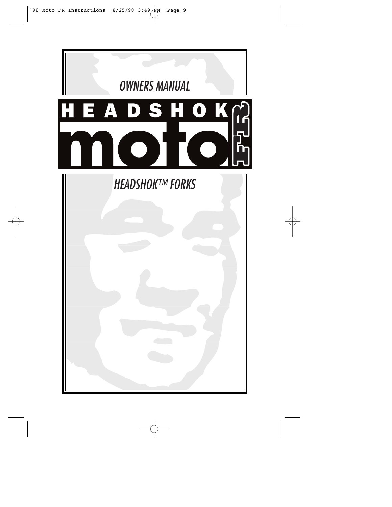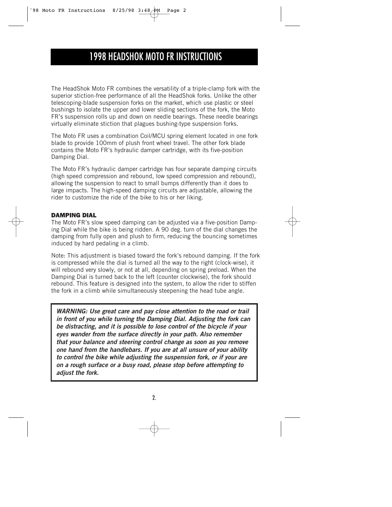# 1998 HEADSHOK MOTO FR INSTRUCTIONS

The HeadShok Moto FR combines the versatility of a triple-clamp fork with the superior stiction-free performance of all the HeadShok forks. Unlike the other telescoping-blade suspension forks on the market, which use plastic or steel bushings to isolate the upper and lower sliding sections of the fork, the Moto FR's suspension rolls up and down on needle bearings. These needle bearings virtually eliminate stiction that plagues bushing-type suspension forks.

The Moto FR uses a combination Coil/MCU spring element located in one fork blade to provide 100mm of plush front wheel travel. The other fork blade contains the Moto FR's hydraulic damper cartridge, with its five-position Damping Dial.

The Moto FR's hydraulic damper cartridge has four separate damping circuits (high speed compression and rebound, low speed compression and rebound), allowing the suspension to react to small bumps differently than it does to large impacts. The high-speed damping circuits are adjustable, allowing the rider to customize the ride of the bike to his or her liking.

## **DAMPING DIAL**

The Moto FR's slow speed damping can be adjusted via a five-position Damping Dial while the bike is being ridden. A 90 deg. turn of the dial changes the damping from fully open and plush to firm, reducing the bouncing sometimes induced by hard pedaling in a climb.

Note: This adjustment is biased toward the fork's rebound damping. If the fork is compressed while the dial is turned all the way to the right (clock-wise), it will rebound very slowly, or not at all, depending on spring preload. When the Damping Dial is turned back to the left (counter clockwise), the fork should rebound. This feature is designed into the system, to allow the rider to stiffen the fork in a climb while simultaneously steepening the head tube angle.

*WARNING: Use great care and pay close attention to the road or trail in front of you while turning the Damping Dial. Adjusting the fork can be distracting, and it is possible to lose control of the bicycle if your eyes wander from the surface directly in your path. Also remember that your balance and steering control change as soon as you remove one hand from the handlebars. If you are at all unsure of your ability to control the bike while adjusting the suspension fork, or if your are on a rough surface or a busy road, please stop before attempting to adjust the fork.*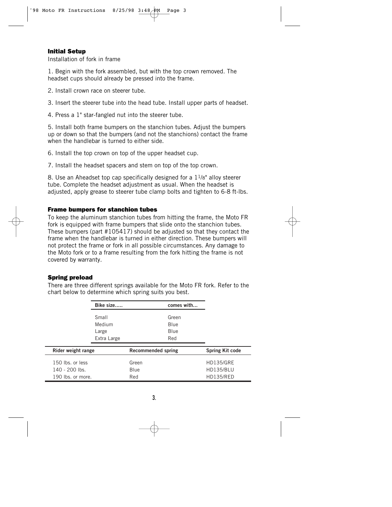## **Initial Setup**

Installation of fork in frame

1. Begin with the fork assembled, but with the top crown removed. The headset cups should already be pressed into the frame.

2. Install crown race on steerer tube.

3. Insert the steerer tube into the head tube. Install upper parts of headset.

4. Press a 1" star-fangled nut into the steerer tube.

5. Install both frame bumpers on the stanchion tubes. Adjust the bumpers up or down so that the bumpers (and not the stanchions) contact the frame when the handlebar is turned to either side.

6. Install the top crown on top of the upper headset cup.

7. Install the headset spacers and stem on top of the top crown.

8. Use an Aheadset top cap specifically designed for a  $1\frac{1}{8}$ " alloy steerer tube. Complete the headset adjustment as usual. When the headset is adjusted, apply grease to steerer tube clamp bolts and tighten to 6-8 ft-lbs.

## **Frame bumpers for stanchion tubes**

To keep the aluminum stanchion tubes from hitting the frame, the Moto FR fork is equipped with frame bumpers that slide onto the stanchion tubes. These bumpers (part #105417) should be adjusted so that they contact the frame when the handlebar is turned in either direction. These bumpers will not protect the frame or fork in all possible circumstances. Any damage to the Moto fork or to a frame resulting from the fork hitting the frame is not covered by warranty.

## **Spring preload**

*Bike size..... comes with...* Small Green Medium Blue Large Blue Extra Large Red *Rider weight range Recommended spring Spring Kit code* 150 lbs. or less Green HD135/GRE 140 - 200 lbs. Blue HD135/BLU

190 lbs. or more. Red Red HD135/RED

There are three different springs available for the Moto FR fork. Refer to the chart below to determine which spring suits you best.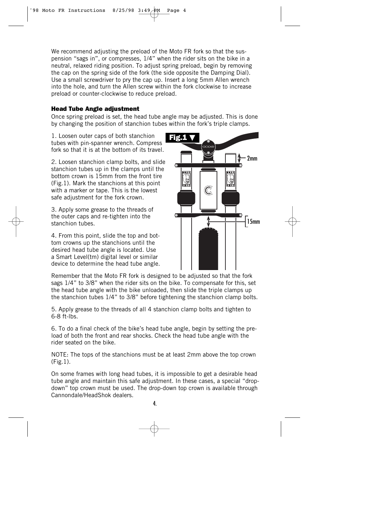We recommend adjusting the preload of the Moto FR fork so that the suspension "sags in", or compresses, 1/4" when the rider sits on the bike in a neutral, relaxed riding position. To adjust spring preload, begin by removing the cap on the spring side of the fork (the side opposite the Damping Dial). Use a small screwdriver to pry the cap up. Insert a long 5mm Allen wrench into the hole, and turn the Allen screw within the fork clockwise to increase preload or counter-clockwise to reduce preload.

## **Head Tube Angle adjustment**

Once spring preload is set, the head tube angle may be adjusted. This is done by changing the position of stanchion tubes within the fork's triple clamps.

1. Loosen outer caps of both stanchion tubes with pin-spanner wrench. Compress fork so that it is at the bottom of its travel.

2. Loosen stanchion clamp bolts, and slide stanchion tubes up in the clamps until the bottom crown is 15mm from the front tire (Fig.1). Mark the stanchions at this point with a marker or tape. This is the lowest safe adjustment for the fork crown.

3. Apply some grease to the threads of the outer caps and re-tighten into the stanchion tubes.

4. From this point, slide the top and bottom crowns up the stanchions until the desired head tube angle is located. Use a Smart Level(tm) digital level or similar device to determine the head tube angle.

Remember that the Moto FR fork is designed to be adjusted so that the fork sags 1/4" to 3/8" when the rider sits on the bike. To compensate for this, set the head tube angle with the bike unloaded, then slide the triple clamps up the stanchion tubes 1/4" to 3/8" before tightening the stanchion clamp bolts.

5. Apply grease to the threads of all 4 stanchion clamp bolts and tighten to 6-8 ft-lbs.

6. To do a final check of the bike's head tube angle, begin by setting the preload of both the front and rear shocks. Check the head tube angle with the rider seated on the bike.

NOTE: The tops of the stanchions must be at least 2mm above the top crown (Fig.1).

On some frames with long head tubes, it is impossible to get a desirable head tube angle and maintain this safe adjustment. In these cases, a special "dropdown" top crown must be used. The drop-down top crown is available through Cannondale/HeadShok dealers.

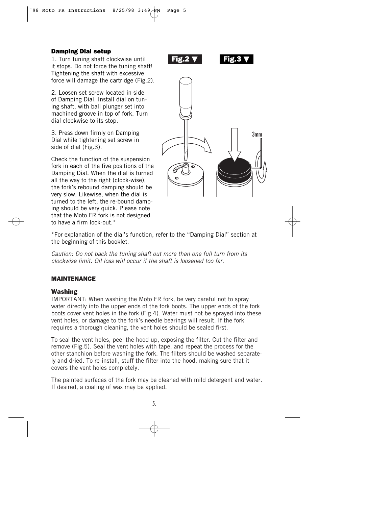## **Damping Dial setup**

1. Turn tuning shaft clockwise until it stops. Do not force the tuning shaft! Tightening the shaft with excessive force will damage the cartridge (Fig.2).

2. Loosen set screw located in side of Damping Dial. Install dial on tuning shaft, with ball plunger set into machined groove in top of fork. Turn dial clockwise to its stop.

3. Press down firmly on Damping Dial while tightening set screw in side of dial (Fig.3).

Check the function of the suspension fork in each of the five positions of the Damping Dial. When the dial is turned all the way to the right (clock-wise), the fork's rebound damping should be very slow. Likewise, when the dial is turned to the left, the re-bound damping should be very quick. Please note that the Moto FR fork is not designed to have a firm lock-out  $*$ 



\*For explanation of the dial's function, refer to the "Damping Dial" section at the beginning of this booklet.

Caution: Do not back the tuning shaft out more than one full turn from its clockwise limit. Oil loss will occur if the shaft is loosened too far.

## **MAINTENANCE**

## **Washing**

IMPORTANT: When washing the Moto FR fork, be very careful not to spray water directly into the upper ends of the fork boots. The upper ends of the fork boots cover vent holes in the fork (Fig.4). Water must not be sprayed into these vent holes, or damage to the fork's needle bearings will result. If the fork requires a thorough cleaning, the vent holes should be sealed first.

To seal the vent holes, peel the hood up, exposing the filter. Cut the filter and remove (Fig.5). Seal the vent holes with tape, and repeat the process for the other stanchion before washing the fork. The filters should be washed separately and dried. To re-install, stuff the filter into the hood, making sure that it covers the vent holes completely.

The painted surfaces of the fork may be cleaned with mild detergent and water. If desired, a coating of wax may be applied.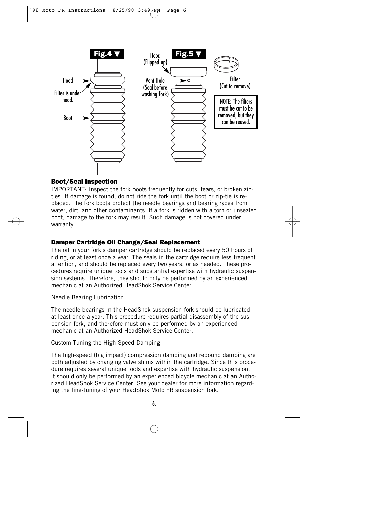

## **Boot/Seal Inspection**

IMPORTANT: Inspect the fork boots frequently for cuts, tears, or broken zipties. If damage is found, do not ride the fork until the boot or zip-tie is replaced. The fork boots protect the needle bearings and bearing races from water, dirt, and other contaminants. If a fork is ridden with a torn or unsealed boot, damage to the fork may result. Such damage is not covered under warranty.

## **Damper Cartridge Oil Change/Seal Replacement**

The oil in your fork's damper cartridge should be replaced every 50 hours of riding, or at least once a year. The seals in the cartridge require less frequent attention, and should be replaced every two years, or as needed. These procedures require unique tools and substantial expertise with hydraulic suspension systems. Therefore, they should only be performed by an experienced mechanic at an Authorized HeadShok Service Center.

Needle Bearing Lubrication

The needle bearings in the HeadShok suspension fork should be lubricated at least once a year. This procedure requires partial disassembly of the suspension fork, and therefore must only be performed by an experienced mechanic at an Authorized HeadShok Service Center.

Custom Tuning the High-Speed Damping

The high-speed (big impact) compression damping and rebound damping are both adjusted by changing valve shims within the cartridge. Since this procedure requires several unique tools and expertise with hydraulic suspension, it should only be performed by an experienced bicycle mechanic at an Authorized HeadShok Service Center. See your dealer for more information regarding the fine-tuning of your HeadShok Moto FR suspension fork.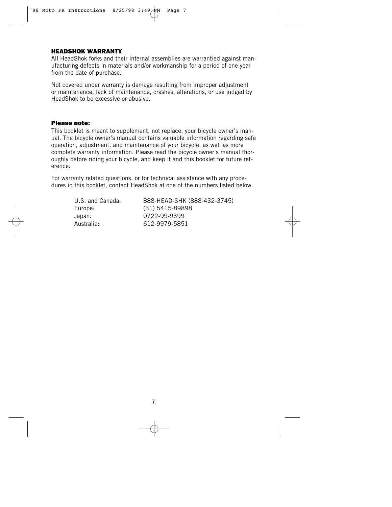#### **HEADSHOK WARRANTY**

All HeadShok forks and their internal assemblies are warrantied against manufacturing defects in materials and/or workmanship for a period of one year from the date of purchase.

Not covered under warranty is damage resulting from improper adjustment or maintenance, lack of maintenance, crashes, alterations, or use judged by HeadShok to be excessive or abusive.

#### **Please note:**

This booklet is meant to supplement, not replace, your bicycle owner's manual. The bicycle owner's manual contains valuable information regarding safe operation, adjustment, and maintenance of your bicycle, as well as more complete warranty information. Please read the bicycle owner's manual thoroughly before riding your bicycle, and keep it and this booklet for future reference.

For warranty related questions, or for technical assistance with any procedures in this booklet, contact HeadShok at one of the numbers listed below.

> Japan: 0722-99-9399 Australia: 612-9979-5851

U.S. and Canada: 888-HEAD-SHK (888-432-3745) Europe: (31) 5415-89898